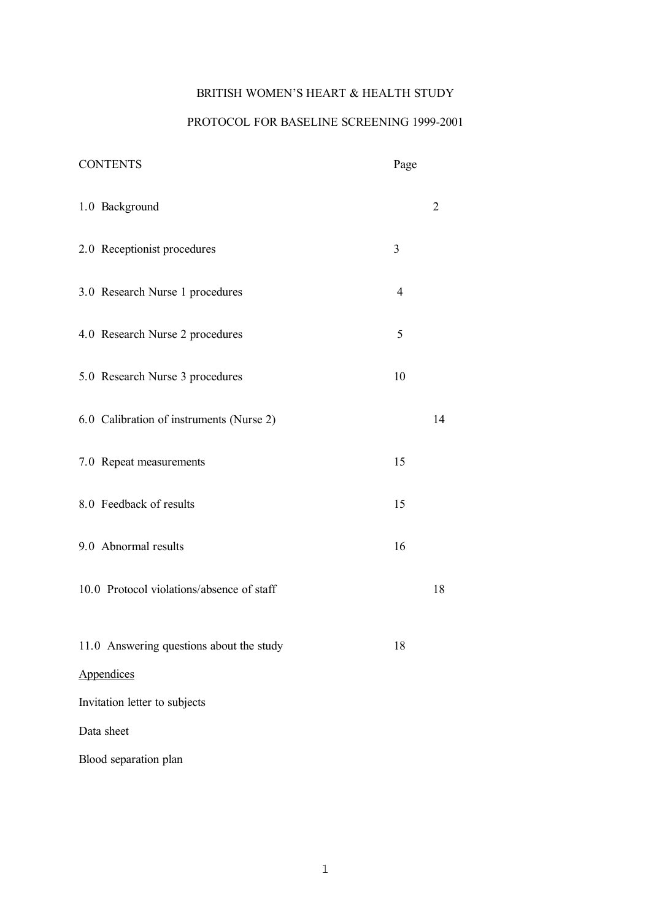# BRITISH WOMEN'S HEART & HEALTH STUDY

# PROTOCOL FOR BASELINE SCREENING 1999-2001

| <b>CONTENTS</b>                           | Page           |                |
|-------------------------------------------|----------------|----------------|
| 1.0 Background                            |                | $\overline{2}$ |
| 2.0 Receptionist procedures               | 3              |                |
| 3.0 Research Nurse 1 procedures           | $\overline{4}$ |                |
| 4.0 Research Nurse 2 procedures           | 5              |                |
| 5.0 Research Nurse 3 procedures           | 10             |                |
| 6.0 Calibration of instruments (Nurse 2)  |                | 14             |
| 7.0 Repeat measurements                   | 15             |                |
| 8.0 Feedback of results                   | 15             |                |
| 9.0 Abnormal results                      | 16             |                |
| 10.0 Protocol violations/absence of staff |                | 18             |
| 11.0 Answering questions about the study  | 18             |                |
| Appendices                                |                |                |
| Invitation letter to subjects             |                |                |
| Data sheet                                |                |                |
| Blood separation plan                     |                |                |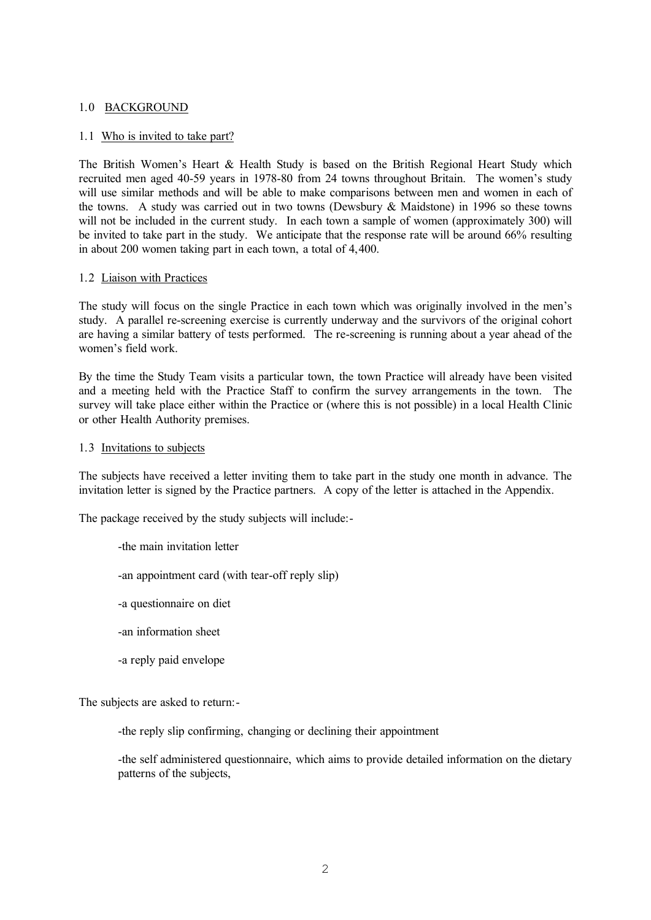## 1.0 BACKGROUND

## 1.1 Who is invited to take part?

The British Women's Heart & Health Study is based on the British Regional Heart Study which recruited men aged 40-59 years in 1978-80 from 24 towns throughout Britain. The women's study will use similar methods and will be able to make comparisons between men and women in each of the towns. A study was carried out in two towns (Dewsbury & Maidstone) in 1996 so these towns will not be included in the current study. In each town a sample of women (approximately 300) will be invited to take part in the study. We anticipate that the response rate will be around 66% resulting in about 200 women taking part in each town, a total of 4,400.

## 1.2 Liaison with Practices

The study will focus on the single Practice in each town which was originally involved in the men's study. A parallel re-screening exercise is currently underway and the survivors of the original cohort are having a similar battery of tests performed. The re-screening is running about a year ahead of the women's field work.

By the time the Study Team visits a particular town, the town Practice will already have been visited and a meeting held with the Practice Staff to confirm the survey arrangements in the town. The survey will take place either within the Practice or (where this is not possible) in a local Health Clinic or other Health Authority premises.

## 1.3 Invitations to subjects

The subjects have received a letter inviting them to take part in the study one month in advance. The invitation letter is signed by the Practice partners. A copy of the letter is attached in the Appendix.

The package received by the study subjects will include:-

- -the main invitation letter
- -an appointment card (with tear-off reply slip)
- -a questionnaire on diet
- -an information sheet
- -a reply paid envelope

The subjects are asked to return:-

-the reply slip confirming, changing or declining their appointment

-the self administered questionnaire, which aims to provide detailed information on the dietary patterns of the subjects,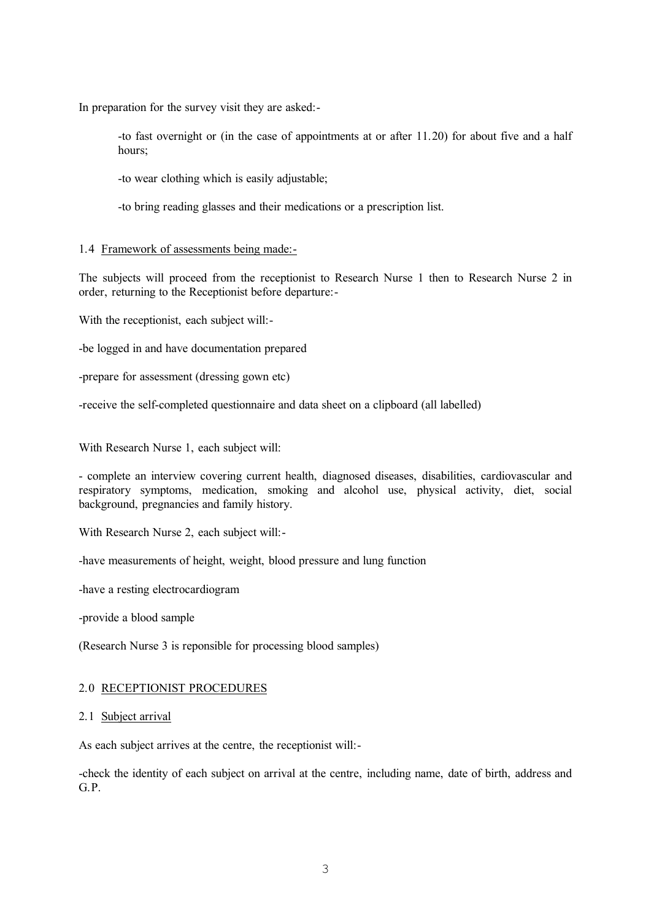In preparation for the survey visit they are asked:-

-to fast overnight or (in the case of appointments at or after 11.20) for about five and a half hours;

-to wear clothing which is easily adjustable;

-to bring reading glasses and their medications or a prescription list.

## 1.4 Framework of assessments being made:-

The subjects will proceed from the receptionist to Research Nurse 1 then to Research Nurse 2 in order, returning to the Receptionist before departure:-

With the receptionist, each subject will:-

-be logged in and have documentation prepared

-prepare for assessment (dressing gown etc)

-receive the self-completed questionnaire and data sheet on a clipboard (all labelled)

With Research Nurse 1, each subject will:

- complete an interview covering current health, diagnosed diseases, disabilities, cardiovascular and respiratory symptoms, medication, smoking and alcohol use, physical activity, diet, social background, pregnancies and family history.

With Research Nurse 2, each subject will:-

-have measurements of height, weight, blood pressure and lung function

-have a resting electrocardiogram

-provide a blood sample

(Research Nurse 3 is reponsible for processing blood samples)

## 2.0 RECEPTIONIST PROCEDURES

## 2.1 Subject arrival

As each subject arrives at the centre, the receptionist will:-

-check the identity of each subject on arrival at the centre, including name, date of birth, address and G.P.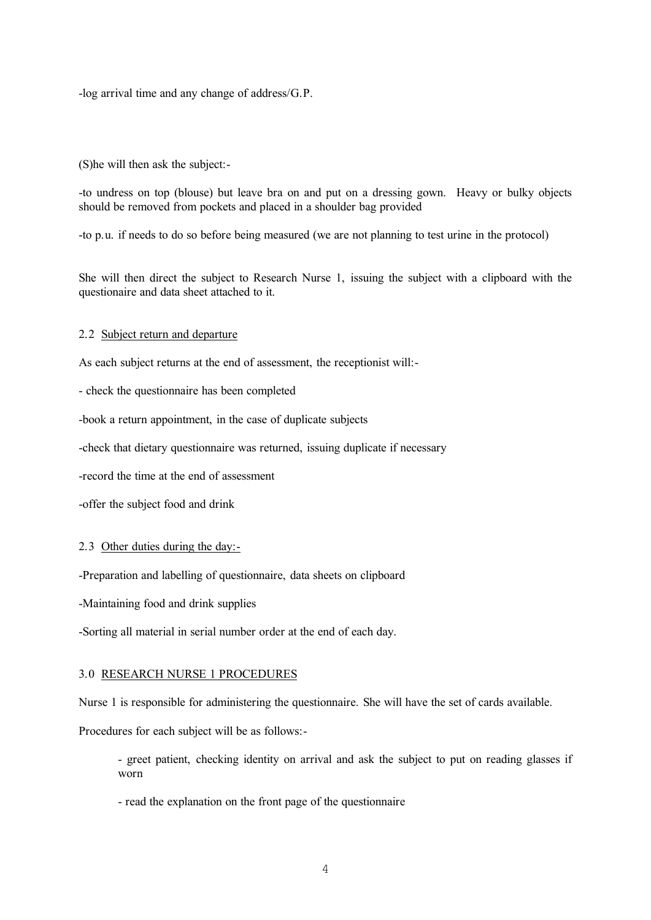-log arrival time and any change of address/G.P.

(S)he will then ask the subject:-

-to undress on top (blouse) but leave bra on and put on a dressing gown. Heavy or bulky objects should be removed from pockets and placed in a shoulder bag provided

-to p.u. if needs to do so before being measured (we are not planning to test urine in the protocol)

She will then direct the subject to Research Nurse 1, issuing the subject with a clipboard with the questionaire and data sheet attached to it.

#### 2.2 Subject return and departure

As each subject returns at the end of assessment, the receptionist will:-

- check the questionnaire has been completed

-book a return appointment, in the case of duplicate subjects

-check that dietary questionnaire was returned, issuing duplicate if necessary

-record the time at the end of assessment

-offer the subject food and drink

#### 2.3 Other duties during the day:-

-Preparation and labelling of questionnaire, data sheets on clipboard

-Maintaining food and drink supplies

-Sorting all material in serial number order at the end of each day.

#### 3.0 RESEARCH NURSE 1 PROCEDURES

Nurse 1 is responsible for administering the questionnaire. She will have the set of cards available.

Procedures for each subject will be as follows:-

- greet patient, checking identity on arrival and ask the subject to put on reading glasses if worn
- read the explanation on the front page of the questionnaire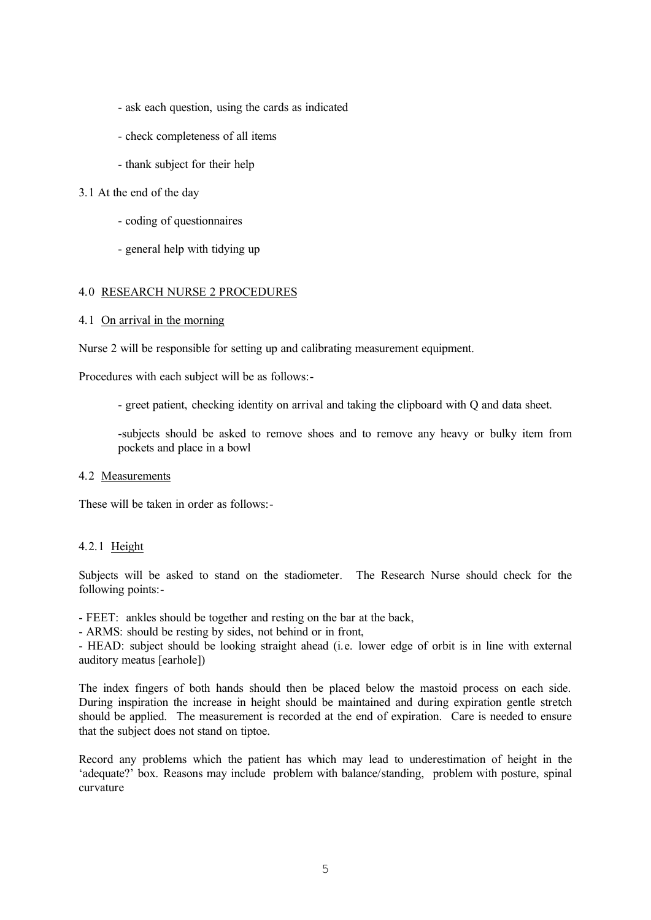- ask each question, using the cards as indicated
- check completeness of all items
- thank subject for their help

#### 3.1 At the end of the day

- coding of questionnaires
- general help with tidying up

#### 4.0 RESEARCH NURSE 2 PROCEDURES

#### 4.1 On arrival in the morning

Nurse 2 will be responsible for setting up and calibrating measurement equipment.

Procedures with each subject will be as follows:-

- greet patient, checking identity on arrival and taking the clipboard with Q and data sheet.

-subjects should be asked to remove shoes and to remove any heavy or bulky item from pockets and place in a bowl

#### 4.2 Measurements

These will be taken in order as follows:-

## 4.2.1 Height

Subjects will be asked to stand on the stadiometer. The Research Nurse should check for the following points:-

- FEET: ankles should be together and resting on the bar at the back,

- ARMS: should be resting by sides, not behind or in front,

- HEAD: subject should be looking straight ahead (i.e. lower edge of orbit is in line with external auditory meatus [earhole])

The index fingers of both hands should then be placed below the mastoid process on each side. During inspiration the increase in height should be maintained and during expiration gentle stretch should be applied. The measurement is recorded at the end of expiration. Care is needed to ensure that the subject does not stand on tiptoe.

Record any problems which the patient has which may lead to underestimation of height in the 'adequate?' box. Reasons may include problem with balance/standing, problem with posture, spinal curvature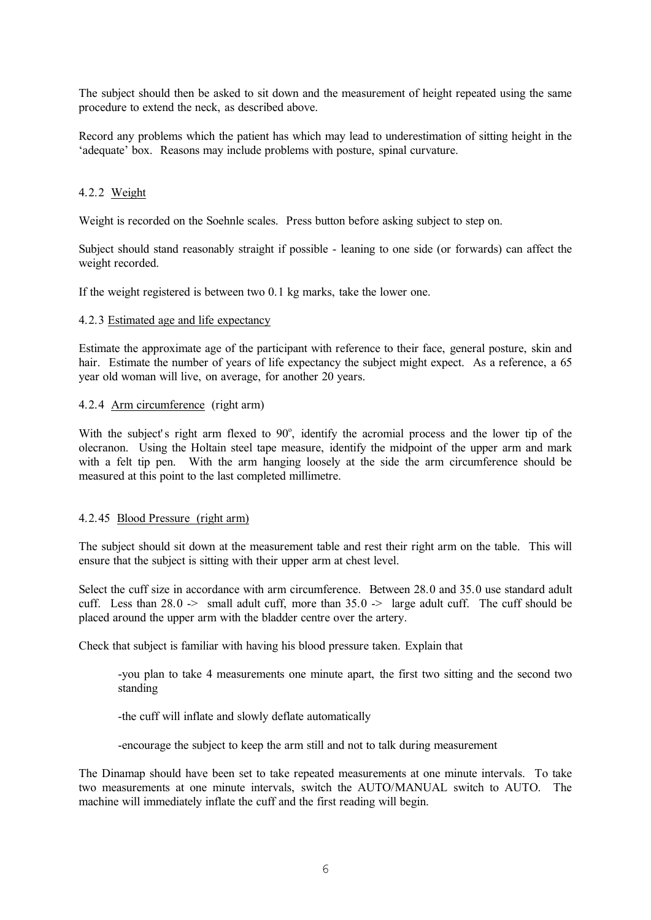The subject should then be asked to sit down and the measurement of height repeated using the same procedure to extend the neck, as described above.

Record any problems which the patient has which may lead to underestimation of sitting height in the 'adequate' box. Reasons may include problems with posture, spinal curvature.

## 4.2.2 Weight

Weight is recorded on the Soehnle scales. Press button before asking subject to step on.

Subject should stand reasonably straight if possible - leaning to one side (or forwards) can affect the weight recorded.

If the weight registered is between two 0.1 kg marks, take the lower one.

#### 4.2.3 Estimated age and life expectancy

Estimate the approximate age of the participant with reference to their face, general posture, skin and hair. Estimate the number of years of life expectancy the subject might expect. As a reference, a 65 year old woman will live, on average, for another 20 years.

#### 4.2.4 Arm circumference (right arm)

With the subject's right arm flexed to 90°, identify the acromial process and the lower tip of the olecranon. Using the Holtain steel tape measure, identify the midpoint of the upper arm and mark with a felt tip pen. With the arm hanging loosely at the side the arm circumference should be measured at this point to the last completed millimetre.

## 4.2.45 Blood Pressure (right arm)

The subject should sit down at the measurement table and rest their right arm on the table. This will ensure that the subject is sitting with their upper arm at chest level.

Select the cuff size in accordance with arm circumference. Between 28.0 and 35.0 use standard adult cuff. Less than  $28.0 \rightarrow$  small adult cuff, more than  $35.0 \rightarrow$  large adult cuff. The cuff should be placed around the upper arm with the bladder centre over the artery.

Check that subject is familiar with having his blood pressure taken. Explain that

-you plan to take 4 measurements one minute apart, the first two sitting and the second two standing

-the cuff will inflate and slowly deflate automatically

-encourage the subject to keep the arm still and not to talk during measurement

The Dinamap should have been set to take repeated measurements at one minute intervals. To take two measurements at one minute intervals, switch the AUTO/MANUAL switch to AUTO. The machine will immediately inflate the cuff and the first reading will begin.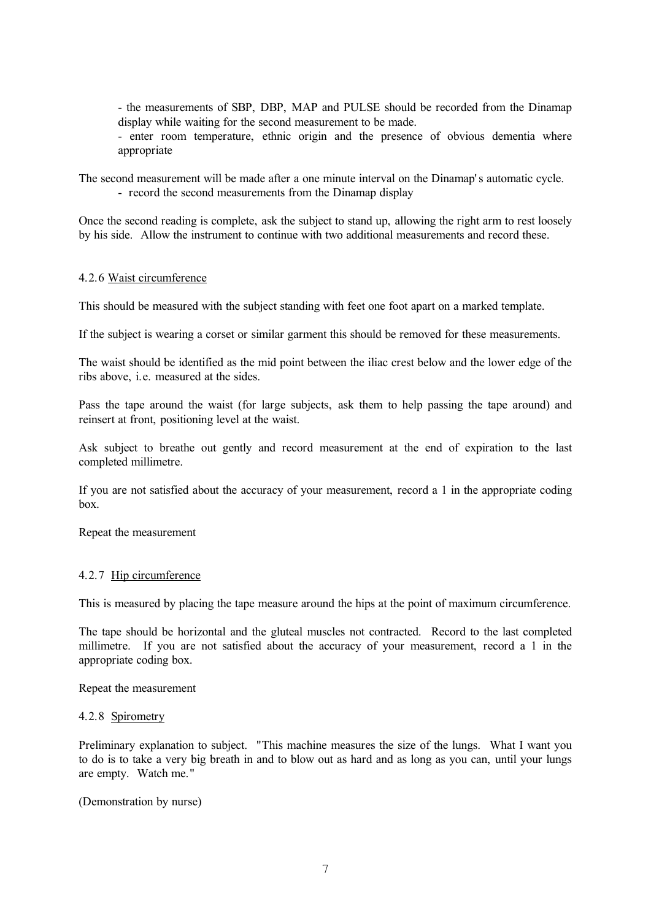- the measurements of SBP, DBP, MAP and PULSE should be recorded from the Dinamap display while waiting for the second measurement to be made.

- enter room temperature, ethnic origin and the presence of obvious dementia where appropriate

The second measurement will be made after a one minute interval on the Dinamap' s automatic cycle.

- record the second measurements from the Dinamap display

Once the second reading is complete, ask the subject to stand up, allowing the right arm to rest loosely by his side. Allow the instrument to continue with two additional measurements and record these.

## 4.2.6 Waist circumference

This should be measured with the subject standing with feet one foot apart on a marked template.

If the subject is wearing a corset or similar garment this should be removed for these measurements.

The waist should be identified as the mid point between the iliac crest below and the lower edge of the ribs above, i.e. measured at the sides.

Pass the tape around the waist (for large subjects, ask them to help passing the tape around) and reinsert at front, positioning level at the waist.

Ask subject to breathe out gently and record measurement at the end of expiration to the last completed millimetre.

If you are not satisfied about the accuracy of your measurement, record a 1 in the appropriate coding box.

Repeat the measurement

## 4.2.7 Hip circumference

This is measured by placing the tape measure around the hips at the point of maximum circumference.

The tape should be horizontal and the gluteal muscles not contracted. Record to the last completed millimetre. If you are not satisfied about the accuracy of your measurement, record a 1 in the appropriate coding box.

Repeat the measurement

## 4.2.8 Spirometry

Preliminary explanation to subject. "This machine measures the size of the lungs. What I want you to do is to take a very big breath in and to blow out as hard and as long as you can, until your lungs are empty. Watch me."

(Demonstration by nurse)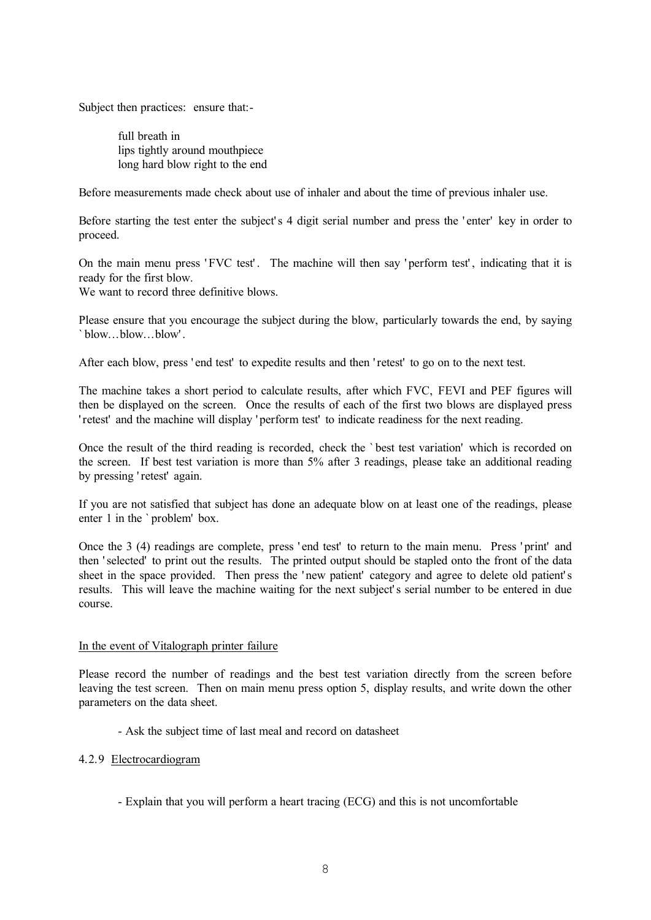Subject then practices: ensure that:-

full breath in lips tightly around mouthpiece long hard blow right to the end

Before measurements made check about use of inhaler and about the time of previous inhaler use.

Before starting the test enter the subject's 4 digit serial number and press the 'enter' key in order to proceed.

On the main menu press 'FVC test'. The machine will then say 'perform test', indicating that it is ready for the first blow.

We want to record three definitive blows.

Please ensure that you encourage the subject during the blow, particularly towards the end, by saying ` blow...blow...blow' .

After each blow, press ' end test' to expedite results and then ' retest' to go on to the next test.

The machine takes a short period to calculate results, after which FVC, FEVI and PEF figures will then be displayed on the screen. Once the results of each of the first two blows are displayed press ' retest' and the machine will display ' perform test' to indicate readiness for the next reading.

Once the result of the third reading is recorded, check the ` best test variation' which is recorded on the screen. If best test variation is more than 5% after 3 readings, please take an additional reading by pressing ' retest' again.

If you are not satisfied that subject has done an adequate blow on at least one of the readings, please enter 1 in the ` problem' box.

Once the 3 (4) readings are complete, press 'end test' to return to the main menu. Press 'print' and then ' selected' to print out the results. The printed output should be stapled onto the front of the data sheet in the space provided. Then press the ' new patient' category and agree to delete old patient' s results. This will leave the machine waiting for the next subject' s serial number to be entered in due course.

## In the event of Vitalograph printer failure

Please record the number of readings and the best test variation directly from the screen before leaving the test screen. Then on main menu press option 5, display results, and write down the other parameters on the data sheet.

- Ask the subject time of last meal and record on datasheet

## 4.2.9 Electrocardiogram

- Explain that you will perform a heart tracing (ECG) and this is not uncomfortable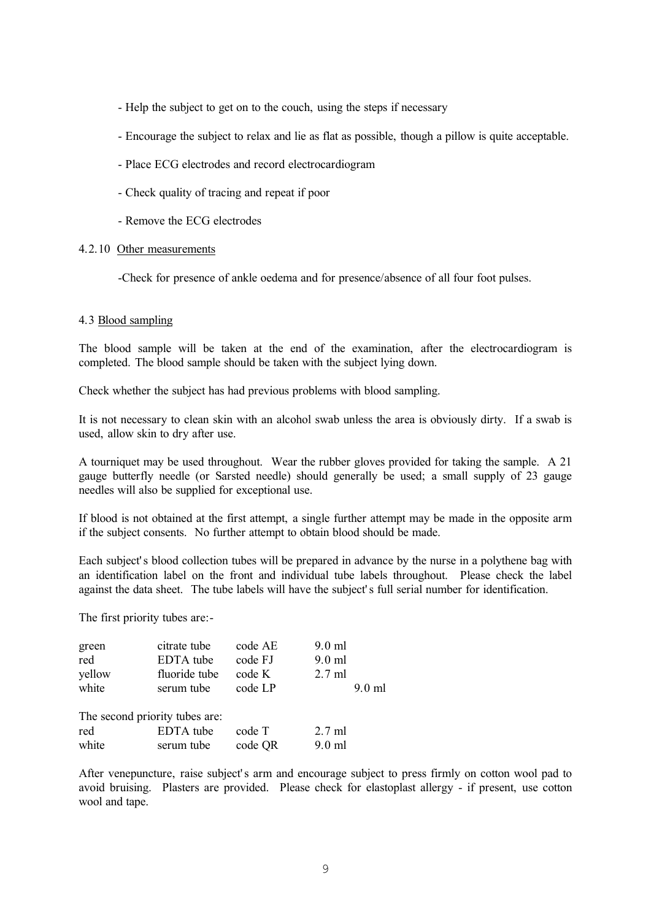- Help the subject to get on to the couch, using the steps if necessary
- Encourage the subject to relax and lie as flat as possible, though a pillow is quite acceptable.
- Place ECG electrodes and record electrocardiogram
- Check quality of tracing and repeat if poor
- Remove the ECG electrodes

### 4.2.10 Other measurements

-Check for presence of ankle oedema and for presence/absence of all four foot pulses.

#### 4.3 Blood sampling

The blood sample will be taken at the end of the examination, after the electrocardiogram is completed. The blood sample should be taken with the subject lying down.

Check whether the subject has had previous problems with blood sampling.

It is not necessary to clean skin with an alcohol swab unless the area is obviously dirty. If a swab is used, allow skin to dry after use.

A tourniquet may be used throughout. Wear the rubber gloves provided for taking the sample. A 21 gauge butterfly needle (or Sarsted needle) should generally be used; a small supply of 23 gauge needles will also be supplied for exceptional use.

If blood is not obtained at the first attempt, a single further attempt may be made in the opposite arm if the subject consents. No further attempt to obtain blood should be made.

Each subject' s blood collection tubes will be prepared in advance by the nurse in a polythene bag with an identification label on the front and individual tube labels throughout. Please check the label against the data sheet. The tube labels will have the subject' s full serial number for identification.

The first priority tubes are:-

| green<br>red<br>yellow<br>white | citrate tube<br>EDTA tube<br>fluoride tube<br>serum tube | code AE<br>code FJ<br>code K<br>code LP | $9.0$ ml<br>$9.0$ ml<br>$2.7$ ml | $9.0$ ml |
|---------------------------------|----------------------------------------------------------|-----------------------------------------|----------------------------------|----------|
| The second priority tubes are:  |                                                          |                                         |                                  |          |
| red                             | EDTA tube                                                | code T                                  | $2.7 \text{ ml}$                 |          |
| white                           | serum tube                                               | code QR                                 | $9.0$ ml                         |          |

After venepuncture, raise subject' s arm and encourage subject to press firmly on cotton wool pad to avoid bruising. Plasters are provided. Please check for elastoplast allergy - if present, use cotton wool and tape.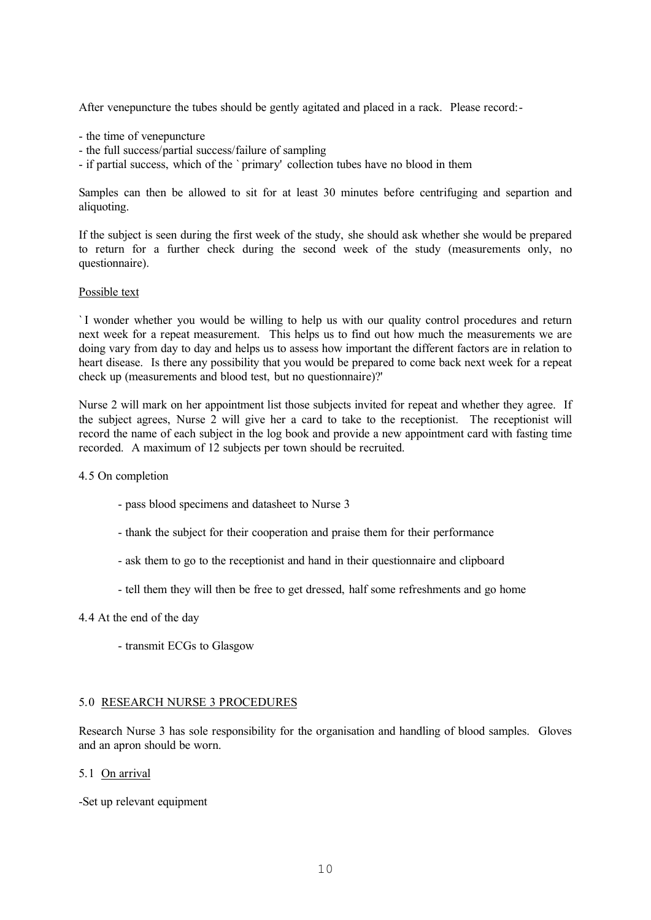After venepuncture the tubes should be gently agitated and placed in a rack. Please record:-

- the time of venepuncture
- the full success/partial success/failure of sampling
- if partial success, which of the ` primary' collection tubes have no blood in them

Samples can then be allowed to sit for at least 30 minutes before centrifuging and separtion and aliquoting.

If the subject is seen during the first week of the study, she should ask whether she would be prepared to return for a further check during the second week of the study (measurements only, no questionnaire).

#### Possible text

` I wonder whether you would be willing to help us with our quality control procedures and return next week for a repeat measurement. This helps us to find out how much the measurements we are doing vary from day to day and helps us to assess how important the different factors are in relation to heart disease. Is there any possibility that you would be prepared to come back next week for a repeat check up (measurements and blood test, but no questionnaire)?'

Nurse 2 will mark on her appointment list those subjects invited for repeat and whether they agree. If the subject agrees, Nurse 2 will give her a card to take to the receptionist. The receptionist will record the name of each subject in the log book and provide a new appointment card with fasting time recorded. A maximum of 12 subjects per town should be recruited.

#### 4.5 On completion

- pass blood specimens and datasheet to Nurse 3
- thank the subject for their cooperation and praise them for their performance
- ask them to go to the receptionist and hand in their questionnaire and clipboard
- tell them they will then be free to get dressed, half some refreshments and go home

## 4.4 At the end of the day

- transmit ECGs to Glasgow

## 5.0 RESEARCH NURSE 3 PROCEDURES

Research Nurse 3 has sole responsibility for the organisation and handling of blood samples. Gloves and an apron should be worn.

## 5.1 On arrival

-Set up relevant equipment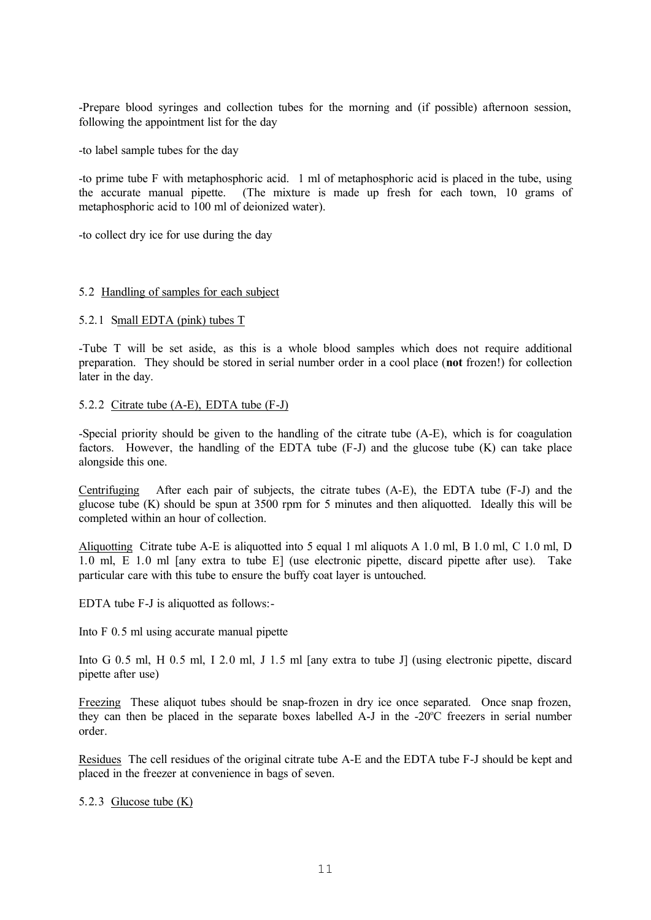-Prepare blood syringes and collection tubes for the morning and (if possible) afternoon session, following the appointment list for the day

-to label sample tubes for the day

-to prime tube F with metaphosphoric acid. 1 ml of metaphosphoric acid is placed in the tube, using the accurate manual pipette. (The mixture is made up fresh for each town, 10 grams of metaphosphoric acid to 100 ml of deionized water).

-to collect dry ice for use during the day

#### 5.2 Handling of samples for each subject

#### 5.2.1 Small EDTA (pink) tubes T

-Tube T will be set aside, as this is a whole blood samples which does not require additional preparation. They should be stored in serial number order in a cool place (**not** frozen!) for collection later in the day.

#### 5.2.2 Citrate tube (A-E), EDTA tube (F-J)

-Special priority should be given to the handling of the citrate tube (A-E), which is for coagulation factors. However, the handling of the EDTA tube (F-J) and the glucose tube (K) can take place alongside this one.

Centrifuging After each pair of subjects, the citrate tubes (A-E), the EDTA tube (F-J) and the glucose tube (K) should be spun at 3500 rpm for 5 minutes and then aliquotted. Ideally this will be completed within an hour of collection.

Aliquotting Citrate tube A-E is aliquotted into 5 equal 1 ml aliquots A 1.0 ml, B 1.0 ml, C 1.0 ml, D 1.0 ml, E 1.0 ml [any extra to tube E] (use electronic pipette, discard pipette after use). Take particular care with this tube to ensure the buffy coat layer is untouched.

EDTA tube F-J is aliquotted as follows:-

Into F 0.5 ml using accurate manual pipette

Into G 0.5 ml, H 0.5 ml, I 2.0 ml, J 1.5 ml [any extra to tube J] (using electronic pipette, discard pipette after use)

Freezing These aliquot tubes should be snap-frozen in dry ice once separated. Once snap frozen, they can then be placed in the separate boxes labelled A-J in the -20<sup>o</sup>C freezers in serial number order.

Residues The cell residues of the original citrate tube A-E and the EDTA tube F-J should be kept and placed in the freezer at convenience in bags of seven.

## 5.2.3 Glucose tube (K)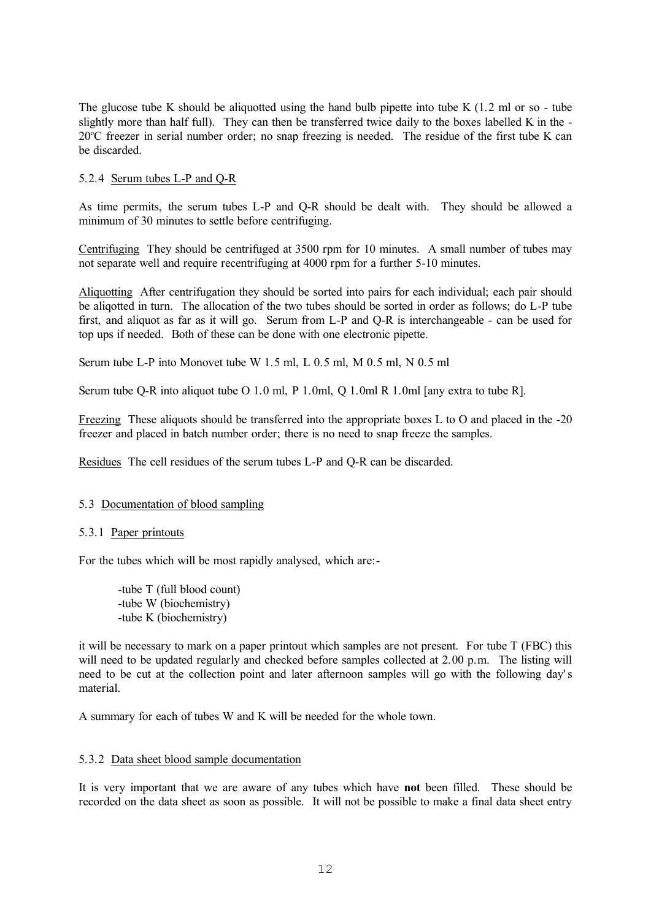The glucose tube K should be aliquotted using the hand bulb pipette into tube K  $(1.2 \text{ ml or so - tube})$ slightly more than half full). They can then be transferred twice daily to the boxes labelled K in the - 20°C freezer in serial number order; no snap freezing is needed. The residue of the first tube K can be discarded.

## 5.2.4 Serum tubes L-P and Q-R

As time permits, the serum tubes L-P and Q-R should be dealt with. They should be allowed a minimum of 30 minutes to settle before centrifuging.

Centrifuging They should be centrifuged at 3500 rpm for 10 minutes. A small number of tubes may not separate well and require recentrifuging at 4000 rpm for a further 5-10 minutes.

Aliquotting After centrifugation they should be sorted into pairs for each individual; each pair should be aligotted in turn. The allocation of the two tubes should be sorted in order as follows; do L-P tube first, and aliquot as far as it will go. Serum from L-P and Q-R is interchangeable - can be used for top ups if needed. Both of these can be done with one electronic pipette.

Serum tube L-P into Monovet tube W 1.5 ml, L 0.5 ml, M 0.5 ml, N 0.5 ml

Serum tube Q-R into aliquot tube O 1.0 ml, P 1.0ml, Q 1.0ml R 1.0ml [any extra to tube R].

Freezing These aliquots should be transferred into the appropriate boxes L to O and placed in the -20 freezer and placed in batch number order; there is no need to snap freeze the samples.

Residues The cell residues of the serum tubes L-P and Q-R can be discarded.

## 5.3 Documentation of blood sampling

## 5.3.1 Paper printouts

For the tubes which will be most rapidly analysed, which are:-

-tube T (full blood count) -tube W (biochemistry) -tube K (biochemistry)

it will be necessary to mark on a paper printout which samples are not present. For tube T (FBC) this will need to be updated regularly and checked before samples collected at 2.00 p.m. The listing will need to be cut at the collection point and later afternoon samples will go with the following day's material.

A summary for each of tubes W and K will be needed for the whole town.

## 5.3.2 Data sheet blood sample documentation

It is very important that we are aware of any tubes which have **not** been filled. These should be recorded on the data sheet as soon as possible. It will not be possible to make a final data sheet entry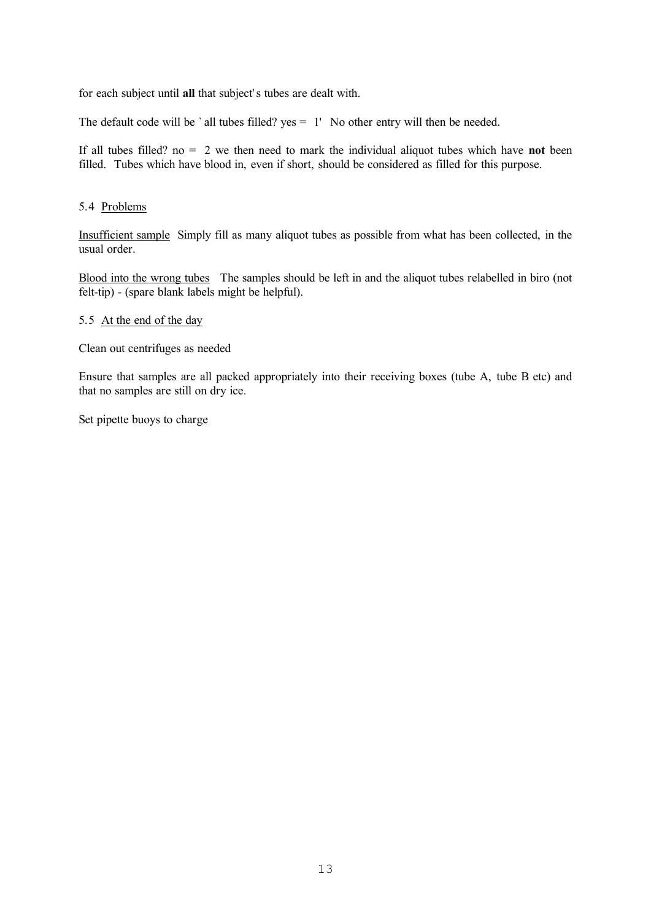for each subject until **all** that subject' s tubes are dealt with.

The default code will be ` all tubes filled? yes = 1' No other entry will then be needed.

If all tubes filled? no = 2 we then need to mark the individual aliquot tubes which have **not** been filled. Tubes which have blood in, even if short, should be considered as filled for this purpose.

## 5.4 Problems

Insufficient sample Simply fill as many aliquot tubes as possible from what has been collected, in the usual order.

Blood into the wrong tubes The samples should be left in and the aliquot tubes relabelled in biro (not felt-tip) - (spare blank labels might be helpful).

## 5.5 At the end of the day

Clean out centrifuges as needed

Ensure that samples are all packed appropriately into their receiving boxes (tube A, tube B etc) and that no samples are still on dry ice.

Set pipette buoys to charge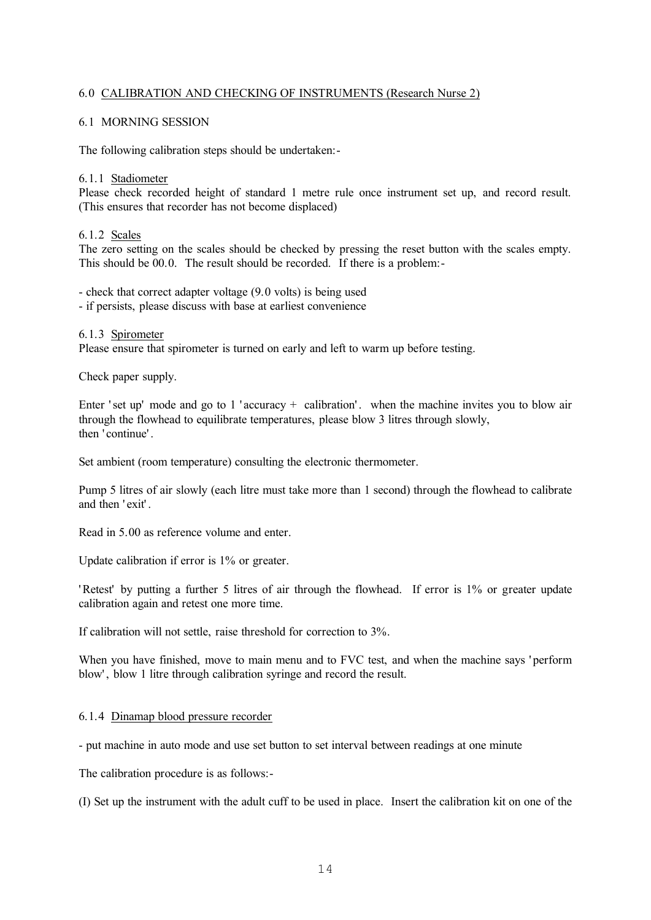## 6.0 CALIBRATION AND CHECKING OF INSTRUMENTS (Research Nurse 2)

## 6.1 MORNING SESSION

The following calibration steps should be undertaken:-

#### 6.1.1 Stadiometer

Please check recorded height of standard 1 metre rule once instrument set up, and record result. (This ensures that recorder has not become displaced)

### 6.1.2 Scales

The zero setting on the scales should be checked by pressing the reset button with the scales empty. This should be 00.0. The result should be recorded. If there is a problem:-

- check that correct adapter voltage (9.0 volts) is being used

- if persists, please discuss with base at earliest convenience

#### 6.1.3 Spirometer

Please ensure that spirometer is turned on early and left to warm up before testing.

Check paper supply.

Enter 'set up' mode and go to 1 'accuracy + calibration'. when the machine invites you to blow air through the flowhead to equilibrate temperatures, please blow 3 litres through slowly, then ' continue' .

Set ambient (room temperature) consulting the electronic thermometer.

Pump 5 litres of air slowly (each litre must take more than 1 second) through the flowhead to calibrate and then ' exit' .

Read in 5.00 as reference volume and enter.

Update calibration if error is 1% or greater.

' Retest' by putting a further 5 litres of air through the flowhead. If error is 1% or greater update calibration again and retest one more time.

If calibration will not settle, raise threshold for correction to 3%.

When you have finished, move to main menu and to FVC test, and when the machine says ' perform blow' , blow 1 litre through calibration syringe and record the result.

## 6.1.4 Dinamap blood pressure recorder

- put machine in auto mode and use set button to set interval between readings at one minute

The calibration procedure is as follows:-

(I) Set up the instrument with the adult cuff to be used in place. Insert the calibration kit on one of the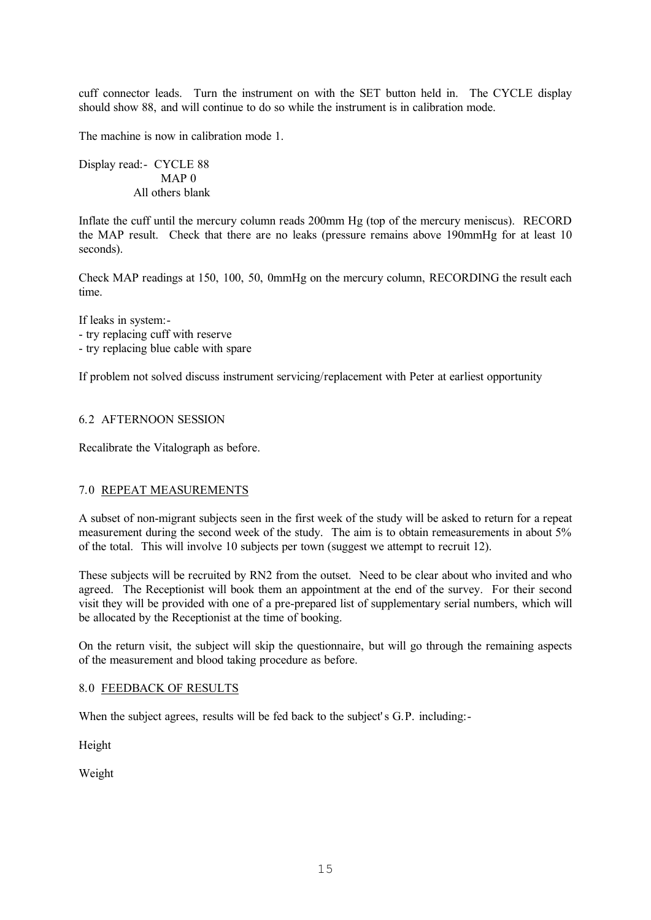cuff connector leads. Turn the instrument on with the SET button held in. The CYCLE display should show 88, and will continue to do so while the instrument is in calibration mode.

The machine is now in calibration mode 1.

Display read:- CYCLE 88 MAP<sub>0</sub> All others blank

Inflate the cuff until the mercury column reads 200mm Hg (top of the mercury meniscus). RECORD the MAP result. Check that there are no leaks (pressure remains above 190mmHg for at least 10 seconds).

Check MAP readings at 150, 100, 50, 0mmHg on the mercury column, RECORDING the result each time.

If leaks in system:- - try replacing cuff with reserve - try replacing blue cable with spare

If problem not solved discuss instrument servicing/replacement with Peter at earliest opportunity

## 6.2 AFTERNOON SESSION

Recalibrate the Vitalograph as before.

## 7.0 REPEAT MEASUREMENTS

A subset of non-migrant subjects seen in the first week of the study will be asked to return for a repeat measurement during the second week of the study. The aim is to obtain remeasurements in about 5% of the total. This will involve 10 subjects per town (suggest we attempt to recruit 12).

These subjects will be recruited by RN2 from the outset. Need to be clear about who invited and who agreed. The Receptionist will book them an appointment at the end of the survey. For their second visit they will be provided with one of a pre-prepared list of supplementary serial numbers, which will be allocated by the Receptionist at the time of booking.

On the return visit, the subject will skip the questionnaire, but will go through the remaining aspects of the measurement and blood taking procedure as before.

## 8.0 FEEDBACK OF RESULTS

When the subject agrees, results will be fed back to the subject's G.P. including:

Height

Weight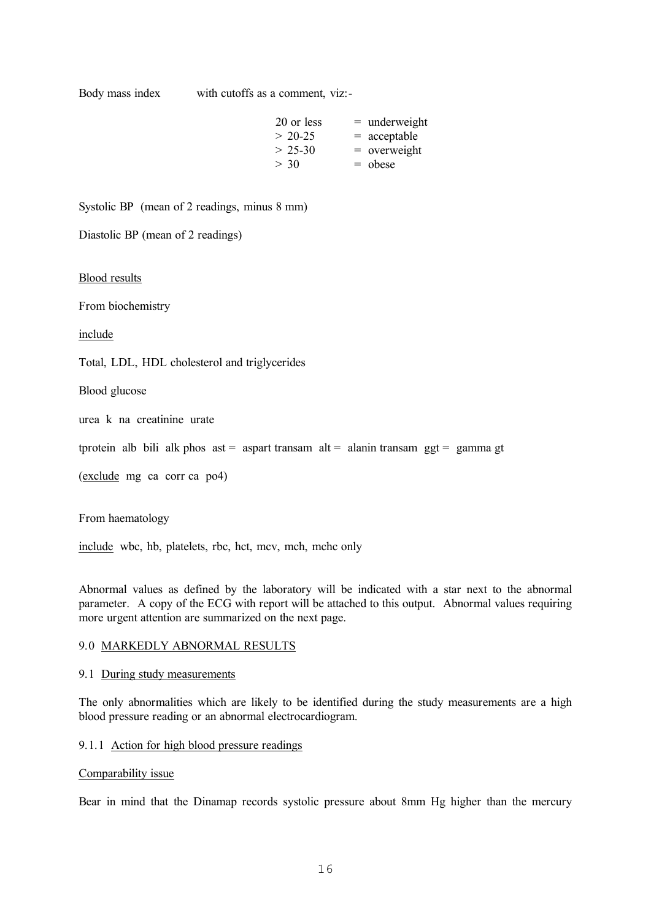Body mass index with cutoffs as a comment, viz:-

| 20 or less | $=$ underweight |
|------------|-----------------|
| $> 20-25$  | $=$ acceptable  |
| $> 25-30$  | $=$ overweight  |
| > 30       | $=$ obese       |

Systolic BP (mean of 2 readings, minus 8 mm)

Diastolic BP (mean of 2 readings)

#### Blood results

From biochemistry

include

Total, LDL, HDL cholesterol and triglycerides

Blood glucose

urea k na creatinine urate

tprotein alb bili alk phos ast = aspart transam alt = alanin transam  $ggt = gamma gt$ 

(exclude mg ca corr ca po4)

From haematology

include wbc, hb, platelets, rbc, hct, mcv, mch, mchc only

Abnormal values as defined by the laboratory will be indicated with a star next to the abnormal parameter. A copy of the ECG with report will be attached to this output. Abnormal values requiring more urgent attention are summarized on the next page.

## 9.0 MARKEDLY ABNORMAL RESULTS

### 9.1 During study measurements

The only abnormalities which are likely to be identified during the study measurements are a high blood pressure reading or an abnormal electrocardiogram.

## 9.1.1 Action for high blood pressure readings

#### Comparability issue

Bear in mind that the Dinamap records systolic pressure about 8mm Hg higher than the mercury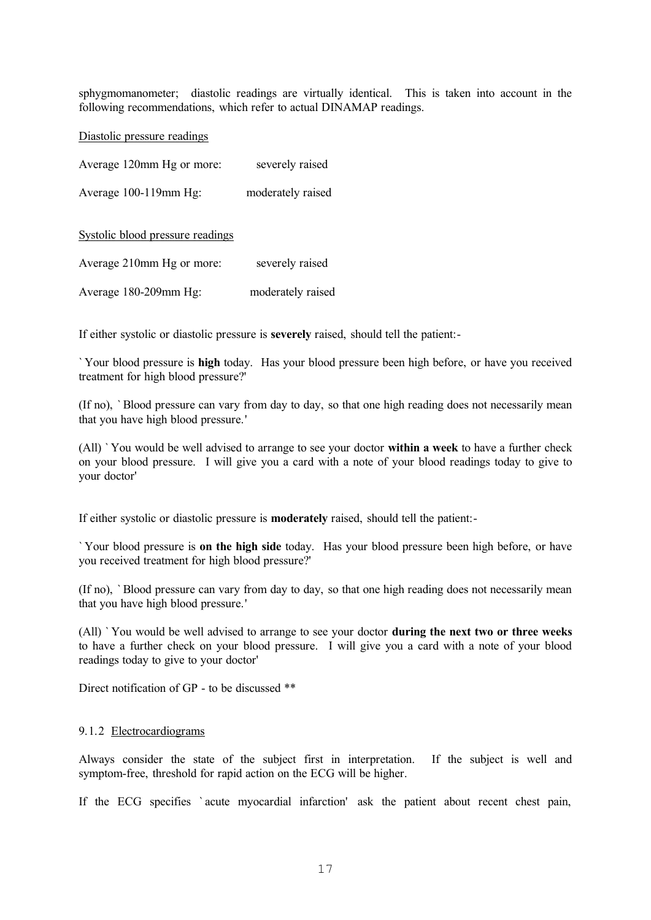sphygmomanometer; diastolic readings are virtually identical. This is taken into account in the following recommendations, which refer to actual DINAMAP readings.

Diastolic pressure readings

| Average 120mm Hg or more: | severely raised   |
|---------------------------|-------------------|
| Average 100-119mm Hg:     | moderately raised |
|                           |                   |

#### Systolic blood pressure readings

| Average 210mm Hg or more: | severely raised   |
|---------------------------|-------------------|
| Average 180-209mm Hg:     | moderately raised |

If either systolic or diastolic pressure is **severely** raised, should tell the patient:-

` Your blood pressure is **high** today. Has your blood pressure been high before, or have you received treatment for high blood pressure?'

(If no), ` Blood pressure can vary from day to day, so that one high reading does not necessarily mean that you have high blood pressure.'

(All) ` You would be well advised to arrange to see your doctor **within a week** to have a further check on your blood pressure. I will give you a card with a note of your blood readings today to give to your doctor'

If either systolic or diastolic pressure is **moderately** raised, should tell the patient:-

` Your blood pressure is **on the high side** today. Has your blood pressure been high before, or have you received treatment for high blood pressure?'

(If no), ` Blood pressure can vary from day to day, so that one high reading does not necessarily mean that you have high blood pressure.'

(All) ` You would be well advised to arrange to see your doctor **during the next two or three weeks** to have a further check on your blood pressure. I will give you a card with a note of your blood readings today to give to your doctor'

Direct notification of GP - to be discussed \*\*

#### 9.1.2 Electrocardiograms

Always consider the state of the subject first in interpretation. If the subject is well and symptom-free, threshold for rapid action on the ECG will be higher.

If the ECG specifies ` acute myocardial infarction' ask the patient about recent chest pain,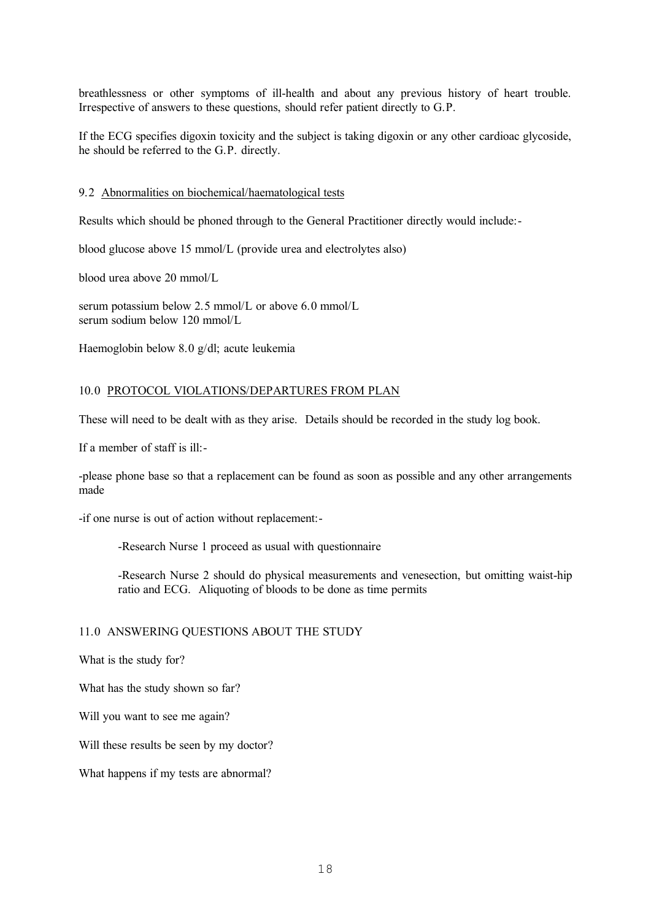breathlessness or other symptoms of ill-health and about any previous history of heart trouble. Irrespective of answers to these questions, should refer patient directly to G.P.

If the ECG specifies digoxin toxicity and the subject is taking digoxin or any other cardioac glycoside, he should be referred to the G.P. directly.

#### 9.2 Abnormalities on biochemical/haematological tests

Results which should be phoned through to the General Practitioner directly would include:-

blood glucose above 15 mmol/L (provide urea and electrolytes also)

blood urea above 20 mmol/L

serum potassium below 2.5 mmol/L or above 6.0 mmol/L serum sodium below 120 mmol/L

Haemoglobin below 8.0 g/dl; acute leukemia

### 10.0 PROTOCOL VIOLATIONS/DEPARTURES FROM PLAN

These will need to be dealt with as they arise. Details should be recorded in the study log book.

If a member of staff is ill:-

-please phone base so that a replacement can be found as soon as possible and any other arrangements made

-if one nurse is out of action without replacement:-

-Research Nurse 1 proceed as usual with questionnaire

-Research Nurse 2 should do physical measurements and venesection, but omitting waist-hip ratio and ECG. Aliquoting of bloods to be done as time permits

### 11.0 ANSWERING QUESTIONS ABOUT THE STUDY

What is the study for?

What has the study shown so far?

Will you want to see me again?

Will these results be seen by my doctor?

What happens if my tests are abnormal?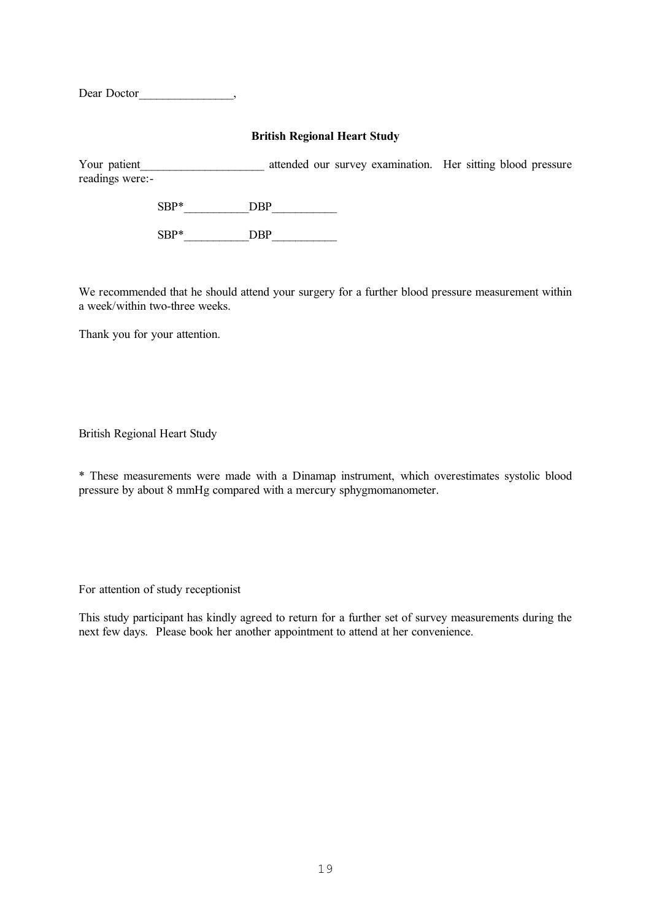Dear Doctor<sub>,</sub>

## **British Regional Heart Study**

Your patient The attended our survey examination. Her sitting blood pressure readings were:-

> $SBP^*$  DBP SBP\*\_\_\_\_\_\_\_\_\_DBP

We recommended that he should attend your surgery for a further blood pressure measurement within a week/within two-three weeks.

Thank you for your attention.

British Regional Heart Study

\* These measurements were made with a Dinamap instrument, which overestimates systolic blood pressure by about 8 mmHg compared with a mercury sphygmomanometer.

For attention of study receptionist

This study participant has kindly agreed to return for a further set of survey measurements during the next few days. Please book her another appointment to attend at her convenience.